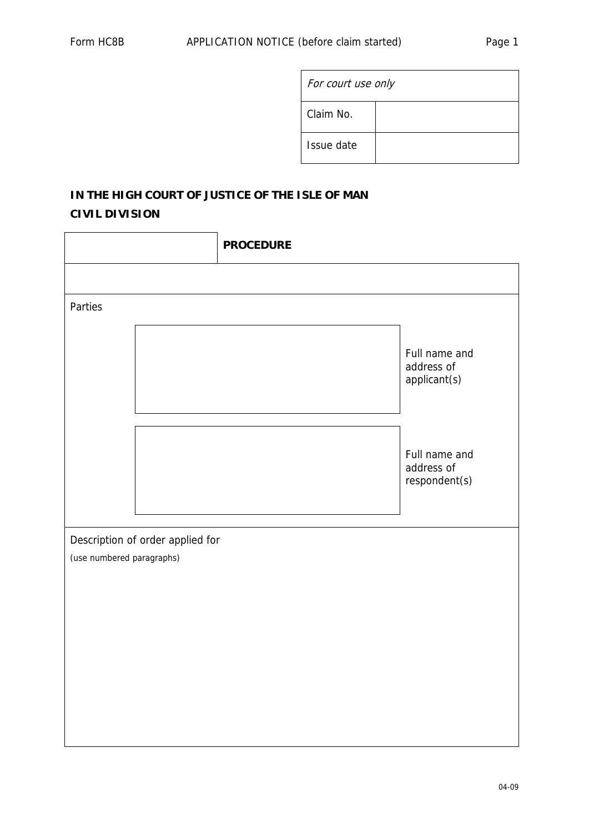|  | For court use only |  |
|--|--------------------|--|
|  | Claim No.          |  |
|  | Issue date         |  |

# **IN THE HIGH COURT OF JUSTICE OF THE ISLE OF MAN CIVIL DIVISION**

| <b>PROCEDURE</b> |                                              |
|------------------|----------------------------------------------|
|                  |                                              |
|                  |                                              |
|                  | Full name and<br>address of<br>applicant(s)  |
|                  | Full name and<br>address of<br>respondent(s) |
|                  |                                              |
|                  |                                              |
|                  |                                              |
|                  |                                              |
|                  |                                              |
|                  |                                              |
|                  |                                              |
|                  | Description of order applied for             |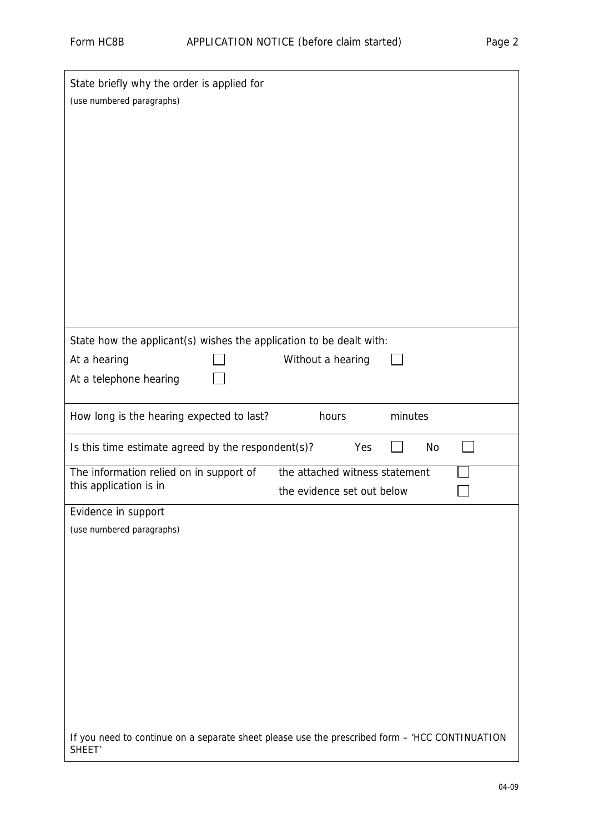| State briefly why the order is applied for<br>(use numbered paragraphs)                                                            |
|------------------------------------------------------------------------------------------------------------------------------------|
|                                                                                                                                    |
|                                                                                                                                    |
| State how the applicant(s) wishes the application to be dealt with:<br>At a hearing<br>Without a hearing<br>At a telephone hearing |
| How long is the hearing expected to last?<br>minutes<br>hours                                                                      |
| Is this time estimate agreed by the respondent(s)?<br>Yes<br>No                                                                    |
| The information relied on in support of<br>the attached witness statement<br>this application is in<br>the evidence set out below  |
| Evidence in support                                                                                                                |
| (use numbered paragraphs)                                                                                                          |
|                                                                                                                                    |
|                                                                                                                                    |
|                                                                                                                                    |
|                                                                                                                                    |
|                                                                                                                                    |
|                                                                                                                                    |
|                                                                                                                                    |
|                                                                                                                                    |
| If you need to continue on a separate sheet please use the prescribed form - 'HCC CONTINUATION<br>SHEET <sup>'</sup>               |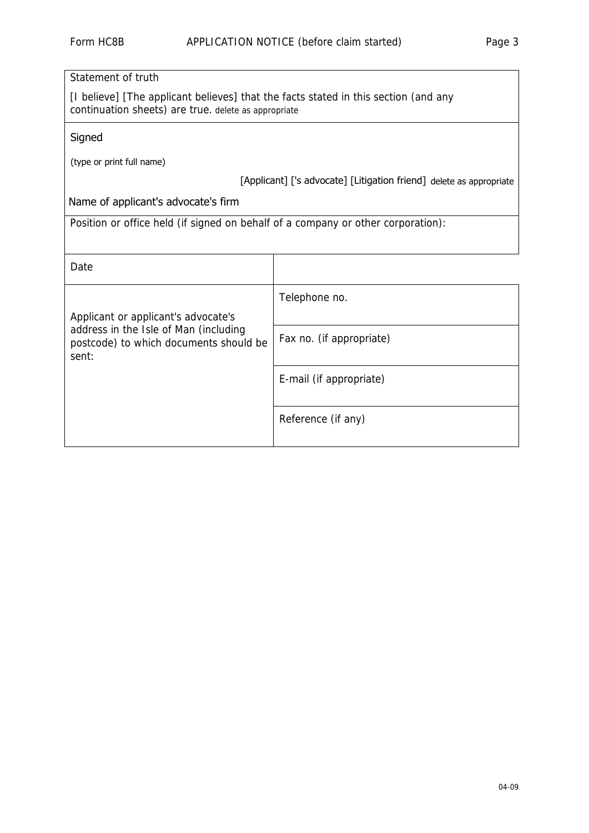| Statement of truth                                                                                                                          |                                                                     |  |
|---------------------------------------------------------------------------------------------------------------------------------------------|---------------------------------------------------------------------|--|
| [I believe] [The applicant believes] that the facts stated in this section (and any<br>continuation sheets) are true. delete as appropriate |                                                                     |  |
| Signed                                                                                                                                      |                                                                     |  |
| (type or print full name)                                                                                                                   |                                                                     |  |
|                                                                                                                                             | [Applicant] ['s advocate] [Litigation friend] delete as appropriate |  |
| Name of applicant's advocate's firm                                                                                                         |                                                                     |  |
| Position or office held (if signed on behalf of a company or other corporation):                                                            |                                                                     |  |
|                                                                                                                                             |                                                                     |  |
| Date                                                                                                                                        |                                                                     |  |
|                                                                                                                                             | Telephone no.                                                       |  |
| Applicant or applicant's advocate's                                                                                                         |                                                                     |  |
| address in the Isle of Man (including<br>postcode) to which documents should be<br>sent:                                                    | Fax no. (if appropriate)                                            |  |
|                                                                                                                                             |                                                                     |  |
|                                                                                                                                             | E-mail (if appropriate)                                             |  |
|                                                                                                                                             | Reference (if any)                                                  |  |
|                                                                                                                                             |                                                                     |  |
|                                                                                                                                             |                                                                     |  |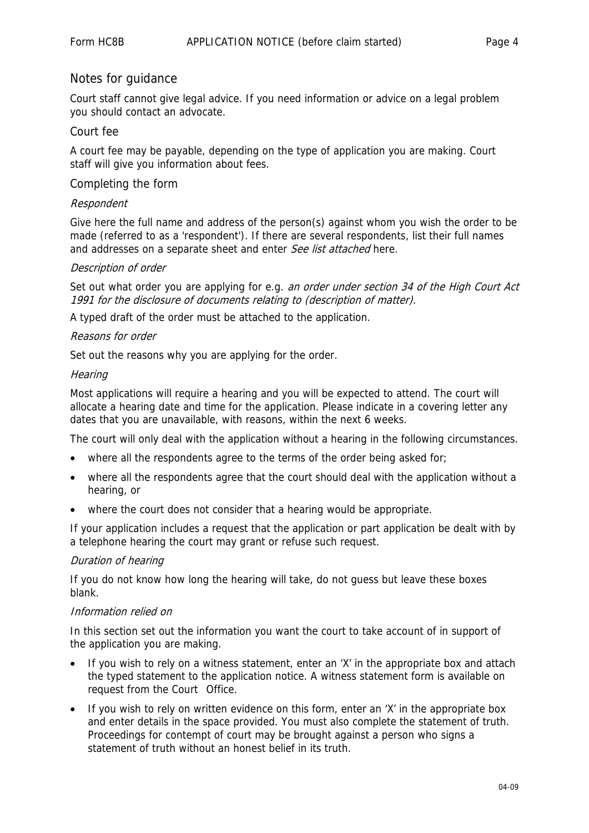## Notes for guidance

Court staff cannot give legal advice. If you need information or advice on a legal problem you should contact an advocate.

## Court fee

A court fee may be payable, depending on the type of application you are making. Court staff will give you information about fees.

## Completing the form

#### Respondent

Give here the full name and address of the person(s) against whom you wish the order to be made (referred to as a 'respondent'). If there are several respondents, list their full names and addresses on a separate sheet and enter See list attached here.

## Description of order

Set out what order you are applying for e.g. an order under section 34 of the High Court Act 1991 for the disclosure of documents relating to (description of matter).

A typed draft of the order must be attached to the application.

## Reasons for order

Set out the reasons why you are applying for the order.

## **Hearing**

Most applications will require a hearing and you will be expected to attend. The court will allocate a hearing date and time for the application. Please indicate in a covering letter any dates that you are unavailable, with reasons, within the next 6 weeks.

The court will only deal with the application without a hearing in the following circumstances.

- where all the respondents agree to the terms of the order being asked for;
- where all the respondents agree that the court should deal with the application without a hearing, or
- where the court does not consider that a hearing would be appropriate.

If your application includes a request that the application or part application be dealt with by a telephone hearing the court may grant or refuse such request.

#### Duration of hearing

If you do not know how long the hearing will take, do not guess but leave these boxes blank.

#### Information relied on

In this section set out the information you want the court to take account of in support of the application you are making.

- If you wish to rely on a witness statement, enter an 'X' in the appropriate box and attach the typed statement to the application notice. A witness statement form is available on request from the Court Office.
- If you wish to rely on written evidence on this form, enter an 'X' in the appropriate box and enter details in the space provided. You must also complete the statement of truth. Proceedings for contempt of court may be brought against a person who signs a statement of truth without an honest belief in its truth.